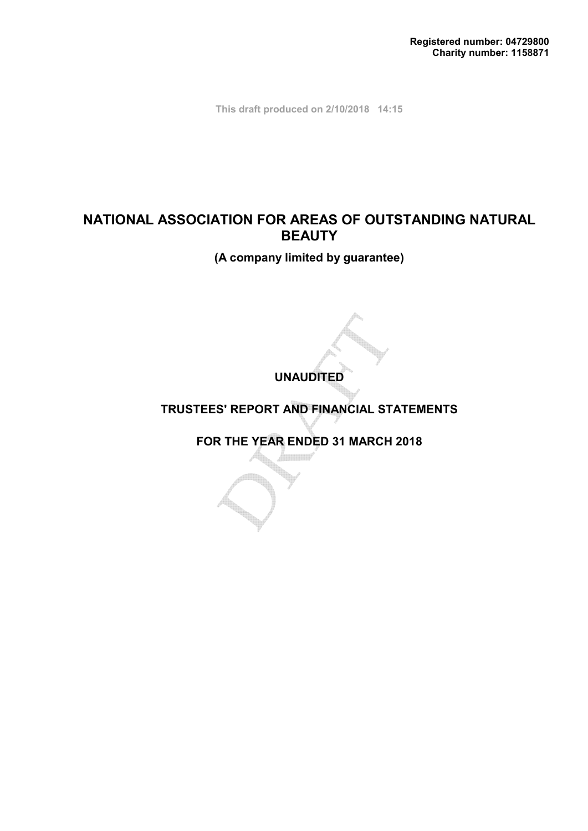**This draft produced on 2/10/2018 14:15**

# **NATIONAL ASSOCIATION FOR AREAS OF OUTSTANDING NATURAL BEAUTY**

**(A company limited by guarantee)**

**UNAUDITED**

# **TRUSTEES' REPORT AND FINANCIAL STATEMENTS**

**FOR THE YEAR ENDED 31 MARCH 2018**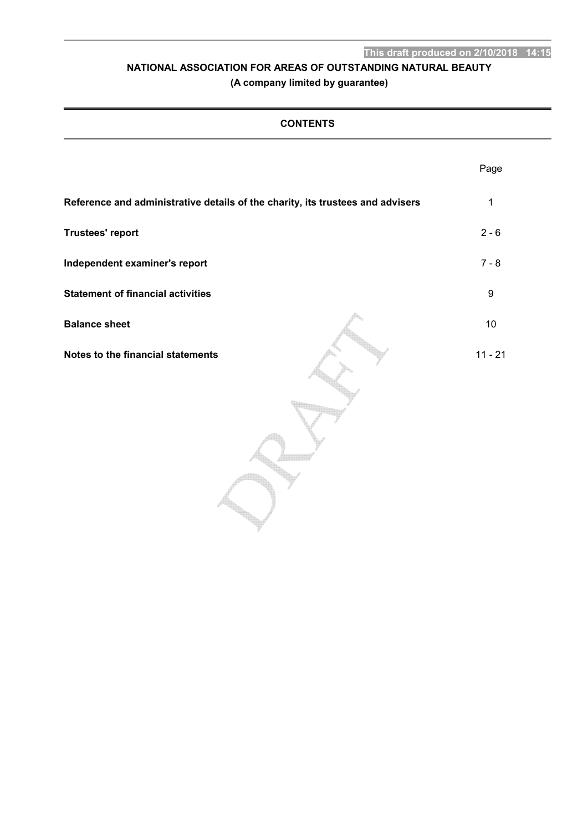# **(A company limited by guarantee)**

| <b>CONTENTS</b>                                                                |                  |  |  |  |  |
|--------------------------------------------------------------------------------|------------------|--|--|--|--|
|                                                                                | Page             |  |  |  |  |
| Reference and administrative details of the charity, its trustees and advisers | $\mathbf 1$      |  |  |  |  |
| <b>Trustees' report</b>                                                        | $2 - 6$          |  |  |  |  |
| Independent examiner's report                                                  | $7 - 8$          |  |  |  |  |
| <b>Statement of financial activities</b>                                       | $\boldsymbol{9}$ |  |  |  |  |
| <b>Balance sheet</b>                                                           | 10               |  |  |  |  |
| Notes to the financial statements                                              | $11 - 21$        |  |  |  |  |
|                                                                                |                  |  |  |  |  |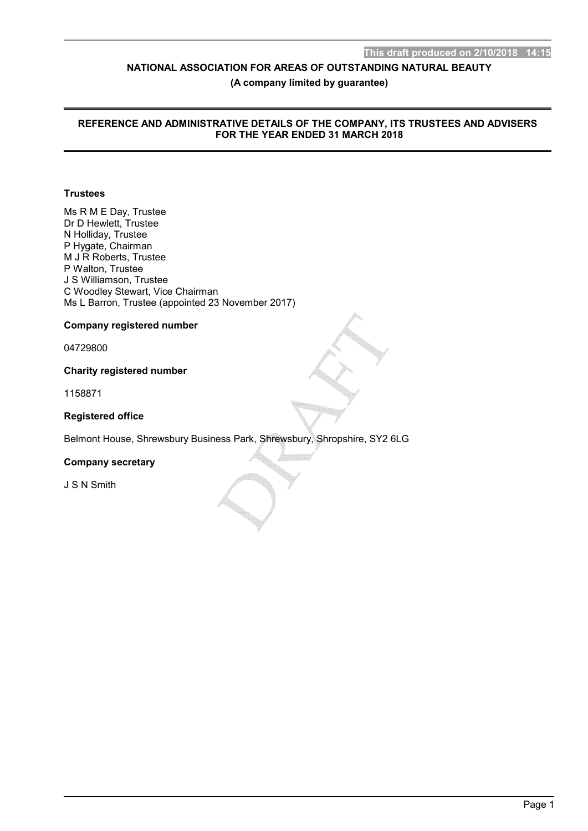**(A company limited by guarantee)**

## **REFERENCE AND ADMINISTRATIVE DETAILS OF THE COMPANY, ITS TRUSTEES AND ADVISERS FOR THE YEAR ENDED 31 MARCH 2018**

## **Trustees**

Ms R M E Day, Trustee Dr D Hewlett, Trustee N Holliday, Trustee P Hygate, Chairman M J R Roberts, Trustee P Walton, Trustee J S Williamson, Trustee C Woodley Stewart, Vice Chairman Ms L Barron, Trustee (appointed 23 November 2017)

## **Company registered number**

04729800

## **Charity registered number**

1158871

## **Registered office**

Belmont House, Shrewsbury Business Park, Shrewsbury, Shropshire, SY2 6LG

## **Company secretary**

J S N Smith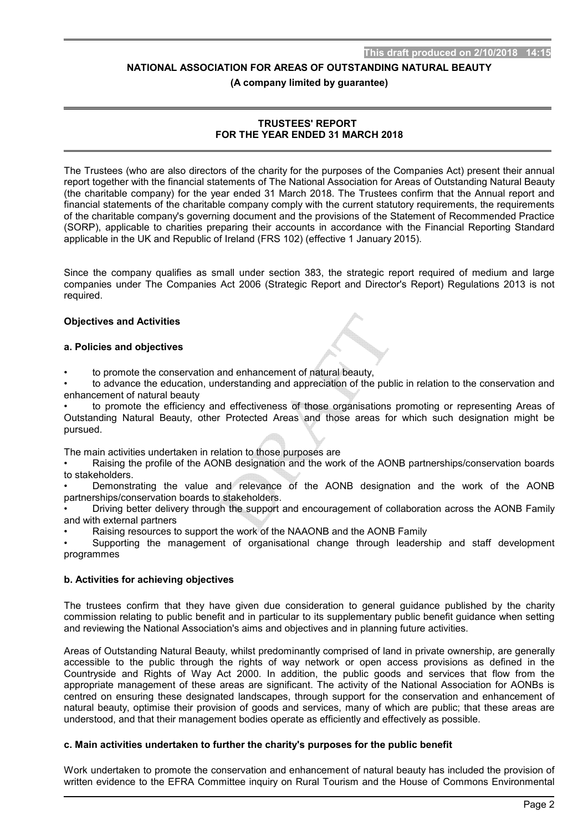**(A company limited by guarantee)**

## **TRUSTEES' REPORT FOR THE YEAR ENDED 31 MARCH 2018**

The Trustees (who are also directors of the charity for the purposes of the Companies Act) present their annual report together with the financial statements of The National Association for Areas of Outstanding Natural Beauty (the charitable company) for the year ended 31 March 2018. The Trustees confirm that the Annual report and financial statements of the charitable company comply with the current statutory requirements, the requirements of the charitable company's governing document and the provisions of the Statement of Recommended Practice (SORP), applicable to charities preparing their accounts in accordance with the Financial Reporting Standard applicable in the UK and Republic of Ireland (FRS 102) (effective 1 January 2015).

Since the company qualifies as small under section 383, the strategic report required of medium and large companies under The Companies Act 2006 (Strategic Report and Director's Report) Regulations 2013 is not required.

## **Objectives and Activities**

## **a. Policies and objectives**

• to promote the conservation and enhancement of natural beauty,

• to advance the education, understanding and appreciation of the public in relation to the conservation and enhancement of natural beauty

• to promote the efficiency and effectiveness of those organisations promoting or representing Areas of Outstanding Natural Beauty, other Protected Areas and those areas for which such designation might be pursued.

The main activities undertaken in relation to those purposes are

• Raising the profile of the AONB designation and the work of the AONB partnerships/conservation boards to stakeholders.

• Demonstrating the value and relevance of the AONB designation and the work of the AONB partnerships/conservation boards to stakeholders.

• Driving better delivery through the support and encouragement of collaboration across the AONB Family and with external partners

• Raising resources to support the work of the NAAONB and the AONB Family

• Supporting the management of organisational change through leadership and staff development programmes

## **b. Activities for achieving objectives**

The trustees confirm that they have given due consideration to general guidance published by the charity commission relating to public benefit and in particular to its supplementary public benefit guidance when setting and reviewing the National Association's aims and objectives and in planning future activities.

Areas of Outstanding Natural Beauty, whilst predominantly comprised of land in private ownership, are generally accessible to the public through the rights of way network or open access provisions as defined in the Countryside and Rights of Way Act 2000. In addition, the public goods and services that flow from the appropriate management of these areas are significant. The activity of the National Association for AONBs is centred on ensuring these designated landscapes, through support for the conservation and enhancement of natural beauty, optimise their provision of goods and services, many of which are public; that these areas are understood, and that their management bodies operate as efficiently and effectively as possible.

## **c. Main activities undertaken to further the charity's purposes for the public benefit**

Work undertaken to promote the conservation and enhancement of natural beauty has included the provision of written evidence to the EFRA Committee inquiry on Rural Tourism and the House of Commons Environmental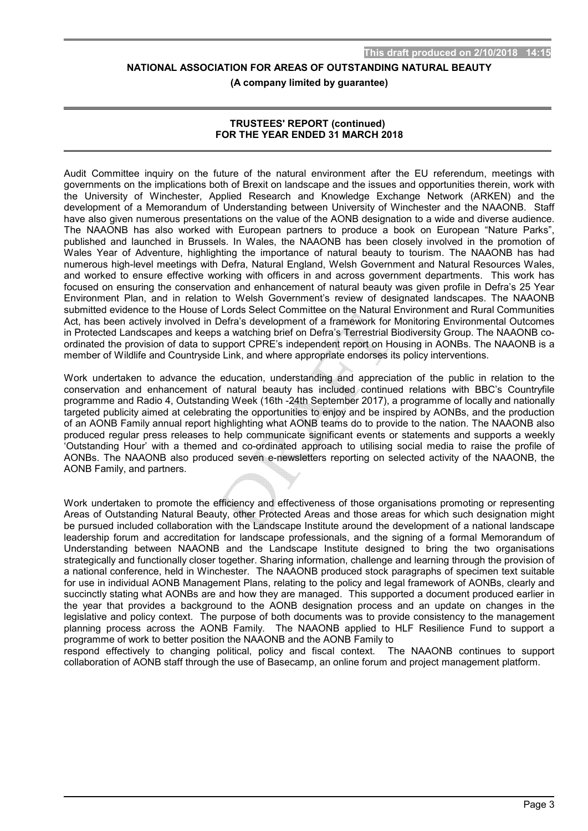**(A company limited by guarantee)**

## **TRUSTEES' REPORT (continued) FOR THE YEAR ENDED 31 MARCH 2018**

Audit Committee inquiry on the future of the natural environment after the EU referendum, meetings with governments on the implications both of Brexit on landscape and the issues and opportunities therein, work with the University of Winchester, Applied Research and Knowledge Exchange Network (ARKEN) and the development of a Memorandum of Understanding between University of Winchester and the NAAONB. Staff have also given numerous presentations on the value of the AONB designation to a wide and diverse audience. The NAAONB has also worked with European partners to produce a book on European "Nature Parks", published and launched in Brussels. In Wales, the NAAONB has been closely involved in the promotion of Wales Year of Adventure, highlighting the importance of natural beauty to tourism. The NAAONB has had numerous high-level meetings with Defra, Natural England, Welsh Government and Natural Resources Wales, and worked to ensure effective working with officers in and across government departments. This work has focused on ensuring the conservation and enhancement of natural beauty was given profile in Defra's 25 Year Environment Plan, and in relation to Welsh Government's review of designated landscapes. The NAAONB submitted evidence to the House of Lords Select Committee on the Natural Environment and Rural Communities Act, has been actively involved in Defra's development of a framework for Monitoring Environmental Outcomes in Protected Landscapes and keeps a watching brief on Defra's Terrestrial Biodiversity Group. The NAAONB coordinated the provision of data to support CPRE's independent report on Housing in AONBs. The NAAONB is a member of Wildlife and Countryside Link, and where appropriate endorses its policy interventions.

Work undertaken to advance the education, understanding and appreciation of the public in relation to the conservation and enhancement of natural beauty has included continued relations with BBC's Countryfile programme and Radio 4, Outstanding Week (16th -24th September 2017), a programme of locally and nationally targeted publicity aimed at celebrating the opportunities to enjoy and be inspired by AONBs, and the production of an AONB Family annual report highlighting what AONB teams do to provide to the nation. The NAAONB also produced regular press releases to help communicate significant events or statements and supports a weekly 'Outstanding Hour' with a themed and co-ordinated approach to utilising social media to raise the profile of AONBs. The NAAONB also produced seven e-newsletters reporting on selected activity of the NAAONB, the AONB Family, and partners.

Work undertaken to promote the efficiency and effectiveness of those organisations promoting or representing Areas of Outstanding Natural Beauty, other Protected Areas and those areas for which such designation might be pursued included collaboration with the Landscape Institute around the development of a national landscape leadership forum and accreditation for landscape professionals, and the signing of a formal Memorandum of Understanding between NAAONB and the Landscape Institute designed to bring the two organisations strategically and functionally closer together. Sharing information, challenge and learning through the provision of a national conference, held in Winchester. The NAAONB produced stock paragraphs of specimen text suitable for use in individual AONB Management Plans, relating to the policy and legal framework of AONBs, clearly and succinctly stating what AONBs are and how they are managed. This supported a document produced earlier in the year that provides a background to the AONB designation process and an update on changes in the legislative and policy context. The purpose of both documents was to provide consistency to the management planning process across the AONB Family. The NAAONB applied to HLF Resilience Fund to support a programme of work to better position the NAAONB and the AONB Family to

respond effectively to changing political, policy and fiscal context. The NAAONB continues to support collaboration of AONB staff through the use of Basecamp, an online forum and project management platform.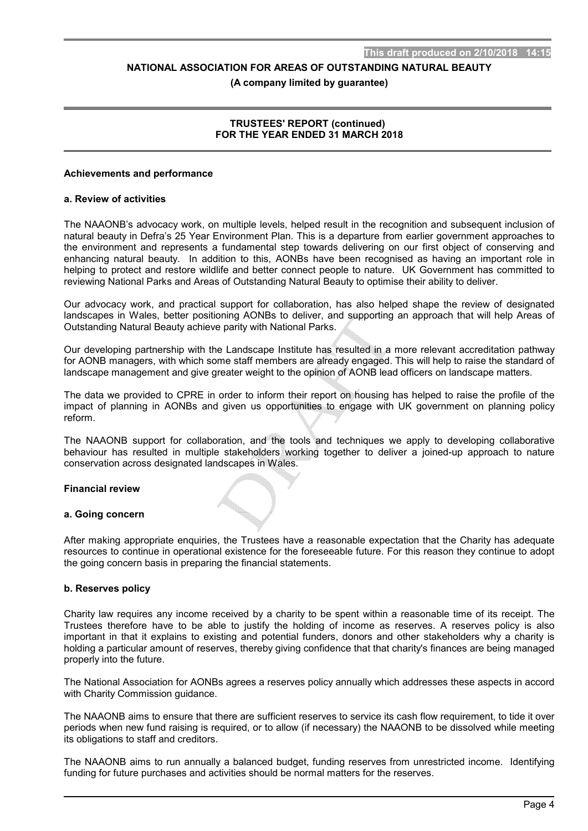#### **(A company limited by guarantee)**

## **TRUSTEES' REPORT (continued) FOR THE YEAR ENDED 31 MARCH 2018**

#### **Achievements and performance**

#### **a. Review of activities**

The NAAONB's advocacy work, on multiple levels, helped result in the recognition and subsequent inclusion of natural beauty in Defra's 25 Year Environment Plan. This is a departure from earlier government approaches to the environment and represents a fundamental step towards delivering on our first object of conserving and enhancing natural beauty. In addition to this, AONBs have been recognised as having an important role in helping to protect and restore wildlife and better connect people to nature. UK Government has committed to reviewing National Parks and Areas of Outstanding Natural Beauty to optimise their ability to deliver.

Our advocacy work, and practical support for collaboration, has also helped shape the review of designated landscapes in Wales, better positioning AONBs to deliver, and supporting an approach that will help Areas of Outstanding Natural Beauty achieve parity with National Parks.

Our developing partnership with the Landscape Institute has resulted in a more relevant accreditation pathway for AONB managers, with which some staff members are already engaged. This will help to raise the standard of landscape management and give greater weight to the opinion of AONB lead officers on landscape matters.

The data we provided to CPRE in order to inform their report on housing has helped to raise the profile of the impact of planning in AONBs and given us opportunities to engage with UK government on planning policy reform.

The NAAONB support for collaboration, and the tools and techniques we apply to developing collaborative behaviour has resulted in multiple stakeholders working together to deliver a joined-up approach to nature conservation across designated landscapes in Wales.

## **Financial review**

#### **a. Going concern**

After making appropriate enquiries, the Trustees have a reasonable expectation that the Charity has adequate resources to continue in operational existence for the foreseeable future. For this reason they continue to adopt the going concern basis in preparing the financial statements.

## **b. Reserves policy**

Charity law requires any income received by a charity to be spent within a reasonable time of its receipt. The Trustees therefore have to be able to justify the holding of income as reserves. A reserves policy is also important in that it explains to existing and potential funders, donors and other stakeholders why a charity is holding a particular amount of reserves, thereby giving confidence that that charity's finances are being managed properly into the future.

The National Association for AONBs agrees a reserves policy annually which addresses these aspects in accord with Charity Commission guidance.

The NAAONB aims to ensure that there are sufficient reserves to service its cash flow requirement, to tide it over periods when new fund raising is required, or to allow (if necessary) the NAAONB to be dissolved while meeting its obligations to staff and creditors.

The NAAONB aims to run annually a balanced budget, funding reserves from unrestricted income. Identifying funding for future purchases and activities should be normal matters for the reserves.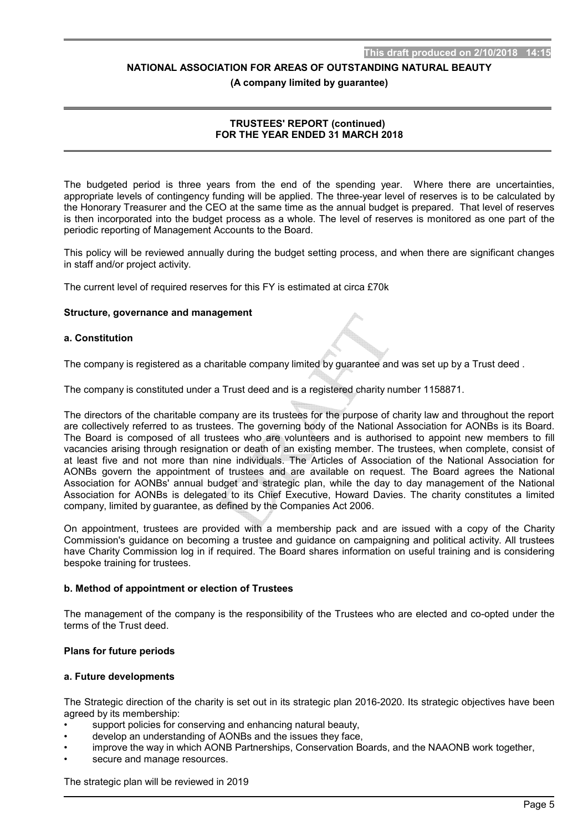**(A company limited by guarantee)**

## **TRUSTEES' REPORT (continued) FOR THE YEAR ENDED 31 MARCH 2018**

The budgeted period is three years from the end of the spending year. Where there are uncertainties, appropriate levels of contingency funding will be applied. The three-year level of reserves is to be calculated by the Honorary Treasurer and the CEO at the same time as the annual budget is prepared. That level of reserves is then incorporated into the budget process as a whole. The level of reserves is monitored as one part of the periodic reporting of Management Accounts to the Board.

This policy will be reviewed annually during the budget setting process, and when there are significant changes in staff and/or project activity.

The current level of required reserves for this FY is estimated at circa £70k

## **Structure, governance and management**

## **a. Constitution**

The company is registered as a charitable company limited by guarantee and was set up by a Trust deed .

The company is constituted under a Trust deed and is a registered charity number 1158871.

The directors of the charitable company are its trustees for the purpose of charity law and throughout the report are collectively referred to as trustees. The governing body of the National Association for AONBs is its Board. The Board is composed of all trustees who are volunteers and is authorised to appoint new members to fill vacancies arising through resignation or death of an existing member. The trustees, when complete, consist of at least five and not more than nine individuals. The Articles of Association of the National Association for AONBs govern the appointment of trustees and are available on request. The Board agrees the National Association for AONBs' annual budget and strategic plan, while the day to day management of the National Association for AONBs is delegated to its Chief Executive, Howard Davies. The charity constitutes a limited company, limited by guarantee, as defined by the Companies Act 2006.

On appointment, trustees are provided with a membership pack and are issued with a copy of the Charity Commission's guidance on becoming a trustee and guidance on campaigning and political activity. All trustees have Charity Commission log in if required. The Board shares information on useful training and is considering bespoke training for trustees.

#### **b. Method of appointment or election of Trustees**

The management of the company is the responsibility of the Trustees who are elected and co-opted under the terms of the Trust deed.

## **Plans for future periods**

#### **a. Future developments**

The Strategic direction of the charity is set out in its strategic plan 2016-2020. Its strategic objectives have been agreed by its membership:

- support policies for conserving and enhancing natural beauty,
- develop an understanding of AONBs and the issues they face,
- improve the way in which AONB Partnerships, Conservation Boards, and the NAAONB work together,
- secure and manage resources.

The strategic plan will be reviewed in 2019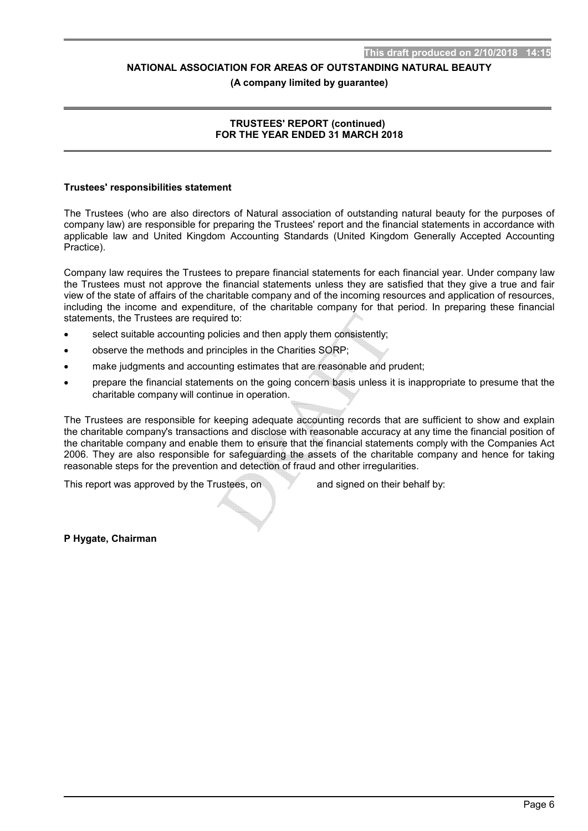#### **(A company limited by guarantee)**

## **TRUSTEES' REPORT (continued) FOR THE YEAR ENDED 31 MARCH 2018**

#### **Trustees' responsibilities statement**

The Trustees (who are also directors of Natural association of outstanding natural beauty for the purposes of company law) are responsible for preparing the Trustees' report and the financial statements in accordance with applicable law and United Kingdom Accounting Standards (United Kingdom Generally Accepted Accounting Practice).

Company law requires the Trustees to prepare financial statements for each financial year. Under company law the Trustees must not approve the financial statements unless they are satisfied that they give a true and fair view of the state of affairs of the charitable company and of the incoming resources and application of resources, including the income and expenditure, of the charitable company for that period. In preparing these financial statements, the Trustees are required to:

- select suitable accounting policies and then apply them consistently;
- observe the methods and principles in the Charities SORP;
- make judgments and accounting estimates that are reasonable and prudent;
- prepare the financial statements on the going concern basis unless it is inappropriate to presume that the charitable company will continue in operation.

The Trustees are responsible for keeping adequate accounting records that are sufficient to show and explain the charitable company's transactions and disclose with reasonable accuracy at any time the financial position of the charitable company and enable them to ensure that the financial statements comply with the Companies Act 2006. They are also responsible for safeguarding the assets of the charitable company and hence for taking reasonable steps for the prevention and detection of fraud and other irregularities.

This report was approved by the Trustees, on and signed on their behalf by:

**P Hygate, Chairman**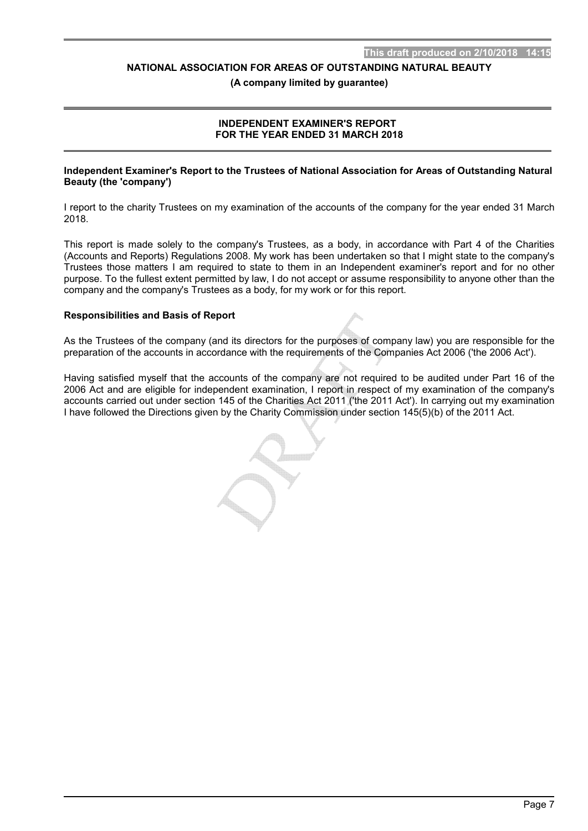**(A company limited by guarantee)**

## **INDEPENDENT EXAMINER'S REPORT FOR THE YEAR ENDED 31 MARCH 2018**

#### **Independent Examiner's Report to the Trustees of National Association for Areas of Outstanding Natural Beauty (the 'company')**

I report to the charity Trustees on my examination of the accounts of the company for the year ended 31 March 2018.

This report is made solely to the company's Trustees, as a body, in accordance with Part 4 of the Charities (Accounts and Reports) Regulations 2008. My work has been undertaken so that I might state to the company's Trustees those matters I am required to state to them in an Independent examiner's report and for no other purpose. To the fullest extent permitted by law, I do not accept or assume responsibility to anyone other than the company and the company's Trustees as a body, for my work or for this report.

#### **Responsibilities and Basis of Report**

As the Trustees of the company (and its directors for the purposes of company law) you are responsible for the preparation of the accounts in accordance with the requirements of the Companies Act 2006 ('the 2006 Act').

Having satisfied myself that the accounts of the company are not required to be audited under Part 16 of the 2006 Act and are eligible for independent examination, I report in respect of my examination of the company's accounts carried out under section 145 of the Charities Act 2011 ('the 2011 Act'). In carrying out my examination I have followed the Directions given by the Charity Commission under section 145(5)(b) of the 2011 Act.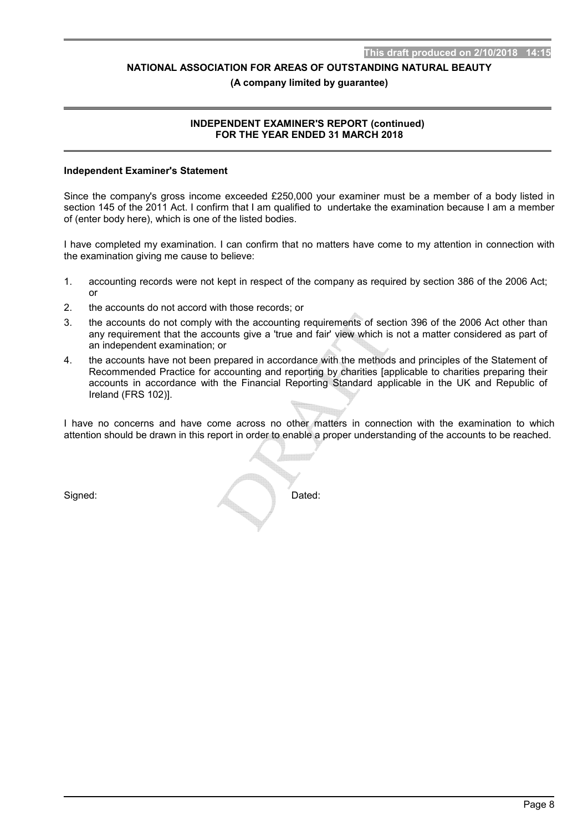#### **(A company limited by guarantee)**

## **INDEPENDENT EXAMINER'S REPORT (continued) FOR THE YEAR ENDED 31 MARCH 2018**

#### **Independent Examiner's Statement**

Since the company's gross income exceeded £250,000 your examiner must be a member of a body listed in section 145 of the 2011 Act. I confirm that I am qualified to undertake the examination because I am a member of (enter body here), which is one of the listed bodies.

I have completed my examination. I can confirm that no matters have come to my attention in connection with the examination giving me cause to believe:

- 1. accounting records were not kept in respect of the company as required by section 386 of the 2006 Act; or
- 2. the accounts do not accord with those records; or
- 3. the accounts do not comply with the accounting requirements of section 396 of the 2006 Act other than any requirement that the accounts give a 'true and fair' view which is not a matter considered as part of an independent examination; or
- 4. the accounts have not been prepared in accordance with the methods and principles of the Statement of Recommended Practice for accounting and reporting by charities [applicable to charities preparing their accounts in accordance with the Financial Reporting Standard applicable in the UK and Republic of Ireland (FRS 102)].

I have no concerns and have come across no other matters in connection with the examination to which attention should be drawn in this report in order to enable a proper understanding of the accounts to be reached.

Signed: Dated: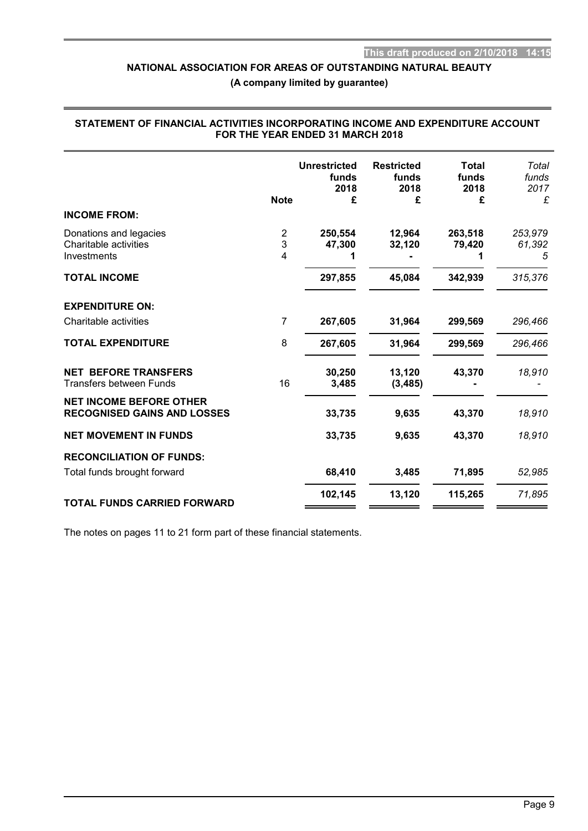**(A company limited by guarantee)**

## **STATEMENT OF FINANCIAL ACTIVITIES INCORPORATING INCOME AND EXPENDITURE ACCOUNT FOR THE YEAR ENDED 31 MARCH 2018**

|                                                                      | <b>Note</b>    | <b>Unrestricted</b><br>funds<br>2018<br>£ | <b>Restricted</b><br>funds<br>2018<br>£ | <b>Total</b><br>funds<br>2018<br>£ | Total<br>funds<br>2017<br>£ |
|----------------------------------------------------------------------|----------------|-------------------------------------------|-----------------------------------------|------------------------------------|-----------------------------|
| <b>INCOME FROM:</b>                                                  |                |                                           |                                         |                                    |                             |
| Donations and legacies<br>Charitable activities<br>Investments       | 2<br>3<br>4    | 250,554<br>47,300                         | 12,964<br>32,120                        | 263,518<br>79,420                  | 253,979<br>61,392<br>5      |
| <b>TOTAL INCOME</b>                                                  |                | 297,855                                   | 45,084                                  | 342,939                            | 315,376                     |
| <b>EXPENDITURE ON:</b>                                               |                |                                           |                                         |                                    |                             |
| Charitable activities                                                | $\overline{7}$ | 267,605                                   | 31,964                                  | 299,569                            | 296,466                     |
| <b>TOTAL EXPENDITURE</b>                                             | 8              | 267,605                                   | 31,964                                  | 299,569                            | 296,466                     |
| <b>NET BEFORE TRANSFERS</b><br><b>Transfers between Funds</b>        | 16             | 30,250<br>3,485                           | 13,120<br>(3, 485)                      | 43,370                             | 18,910                      |
| <b>NET INCOME BEFORE OTHER</b><br><b>RECOGNISED GAINS AND LOSSES</b> |                | 33,735                                    | 9,635                                   | 43,370                             | 18,910                      |
| <b>NET MOVEMENT IN FUNDS</b>                                         |                | 33,735                                    | 9,635                                   | 43,370                             | 18,910                      |
| <b>RECONCILIATION OF FUNDS:</b>                                      |                |                                           |                                         |                                    |                             |
| Total funds brought forward                                          |                | 68,410                                    | 3,485                                   | 71,895                             | 52,985                      |
| <b>TOTAL FUNDS CARRIED FORWARD</b>                                   |                | 102,145                                   | 13,120                                  | 115,265                            | 71,895                      |
|                                                                      |                |                                           |                                         |                                    |                             |

The notes on pages 11 to 21 form part of these financial statements.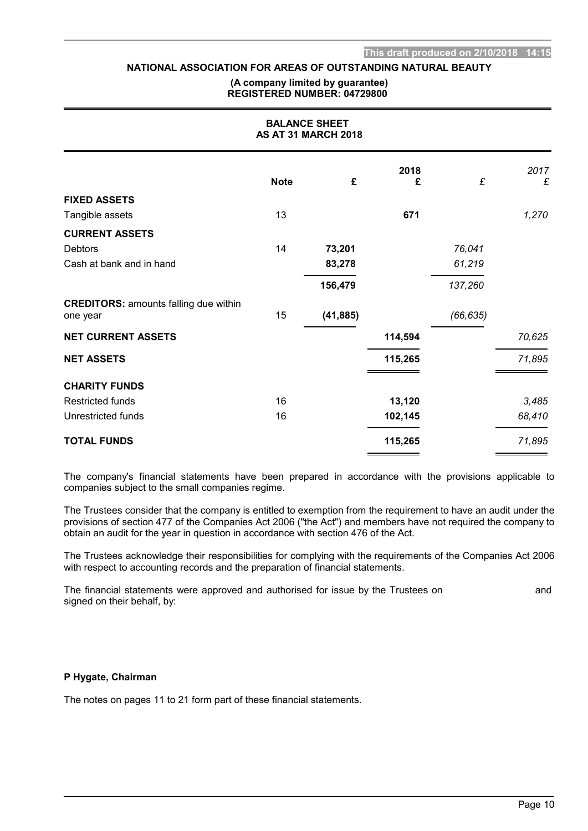#### **(A company limited by guarantee) REGISTERED NUMBER: 04729800**

| <b>BALANCE SHEET</b><br><b>AS AT 31 MARCH 2018</b>       |             |           |         |           |        |
|----------------------------------------------------------|-------------|-----------|---------|-----------|--------|
|                                                          |             |           | 2018    |           | 2017   |
|                                                          | <b>Note</b> | £         | £       | £         | £      |
| <b>FIXED ASSETS</b>                                      |             |           |         |           |        |
| Tangible assets                                          | 13          |           | 671     |           | 1,270  |
| <b>CURRENT ASSETS</b>                                    |             |           |         |           |        |
| <b>Debtors</b>                                           | 14          | 73,201    |         | 76,041    |        |
| Cash at bank and in hand                                 |             | 83,278    |         | 61,219    |        |
|                                                          |             | 156,479   |         | 137,260   |        |
| <b>CREDITORS: amounts falling due within</b><br>one year | 15          | (41, 885) |         | (66, 635) |        |
| <b>NET CURRENT ASSETS</b>                                |             |           | 114,594 |           | 70,625 |
| <b>NET ASSETS</b>                                        |             |           | 115,265 |           | 71,895 |
| <b>CHARITY FUNDS</b>                                     |             |           |         |           |        |
| <b>Restricted funds</b>                                  | 16          |           | 13,120  |           | 3,485  |
| Unrestricted funds                                       | 16          |           | 102,145 |           | 68,410 |
| <b>TOTAL FUNDS</b>                                       |             |           | 115,265 |           | 71,895 |

The company's financial statements have been prepared in accordance with the provisions applicable to companies subject to the small companies regime.

The Trustees consider that the company is entitled to exemption from the requirement to have an audit under the provisions of section 477 of the Companies Act 2006 ("the Act") and members have not required the company to obtain an audit for the year in question in accordance with section 476 of the Act.

The Trustees acknowledge their responsibilities for complying with the requirements of the Companies Act 2006 with respect to accounting records and the preparation of financial statements.

The financial statements were approved and authorised for issue by the Trustees on and and signed on their behalf, by:

#### **P Hygate, Chairman**

The notes on pages 11 to 21 form part of these financial statements.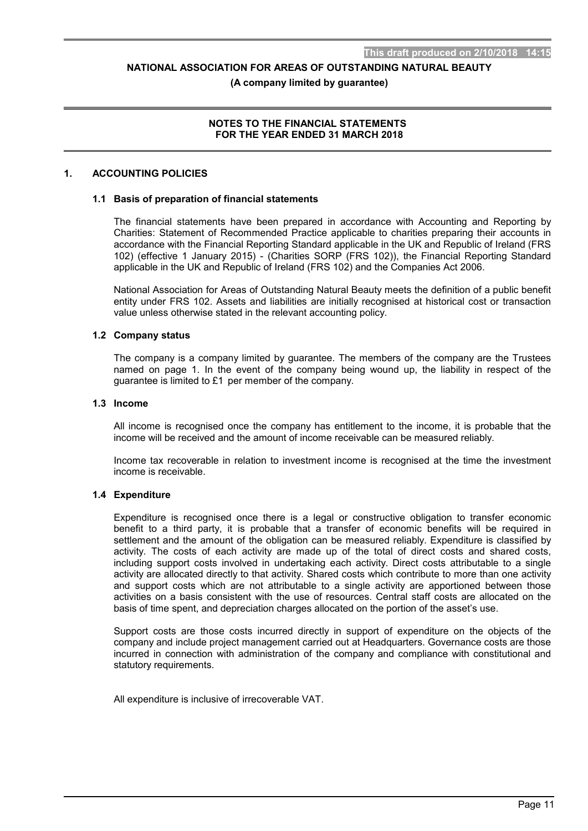#### **(A company limited by guarantee)**

## **NOTES TO THE FINANCIAL STATEMENTS FOR THE YEAR ENDED 31 MARCH 2018**

## **1. ACCOUNTING POLICIES**

#### **1.1 Basis of preparation of financial statements**

The financial statements have been prepared in accordance with Accounting and Reporting by Charities: Statement of Recommended Practice applicable to charities preparing their accounts in accordance with the Financial Reporting Standard applicable in the UK and Republic of Ireland (FRS 102) (effective 1 January 2015) - (Charities SORP (FRS 102)), the Financial Reporting Standard applicable in the UK and Republic of Ireland (FRS 102) and the Companies Act 2006.

National Association for Areas of Outstanding Natural Beauty meets the definition of a public benefit entity under FRS 102. Assets and liabilities are initially recognised at historical cost or transaction value unless otherwise stated in the relevant accounting policy.

#### **1.2 Company status**

The company is a company limited by guarantee. The members of the company are the Trustees named on page 1. In the event of the company being wound up, the liability in respect of the guarantee is limited to £1 per member of the company.

#### **1.3 Income**

All income is recognised once the company has entitlement to the income, it is probable that the income will be received and the amount of income receivable can be measured reliably.

Income tax recoverable in relation to investment income is recognised at the time the investment income is receivable.

## **1.4 Expenditure**

Expenditure is recognised once there is a legal or constructive obligation to transfer economic benefit to a third party, it is probable that a transfer of economic benefits will be required in settlement and the amount of the obligation can be measured reliably. Expenditure is classified by activity. The costs of each activity are made up of the total of direct costs and shared costs, including support costs involved in undertaking each activity. Direct costs attributable to a single activity are allocated directly to that activity. Shared costs which contribute to more than one activity and support costs which are not attributable to a single activity are apportioned between those activities on a basis consistent with the use of resources. Central staff costs are allocated on the basis of time spent, and depreciation charges allocated on the portion of the asset's use.

Support costs are those costs incurred directly in support of expenditure on the objects of the company and include project management carried out at Headquarters. Governance costs are those incurred in connection with administration of the company and compliance with constitutional and statutory requirements.

All expenditure is inclusive of irrecoverable VAT.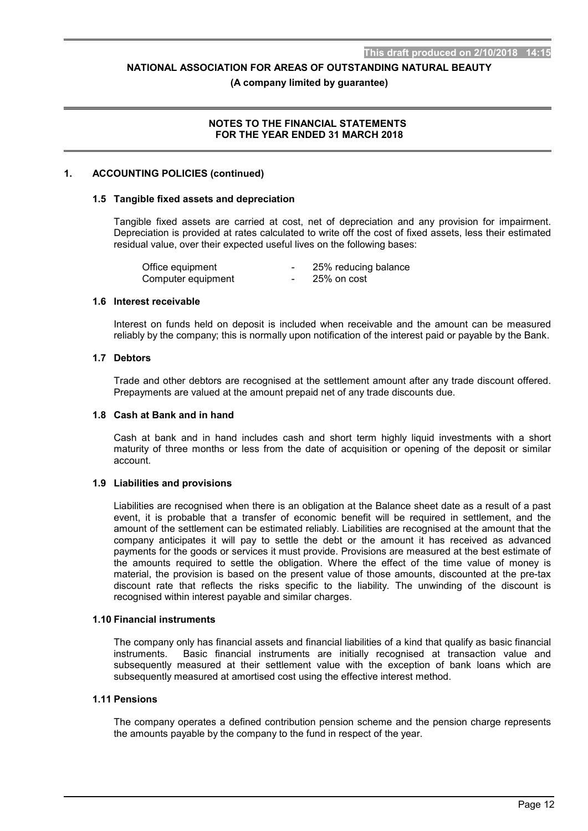#### **(A company limited by guarantee)**

## **NOTES TO THE FINANCIAL STATEMENTS FOR THE YEAR ENDED 31 MARCH 2018**

#### **1. ACCOUNTING POLICIES (continued)**

#### **1.5 Tangible fixed assets and depreciation**

Tangible fixed assets are carried at cost, net of depreciation and any provision for impairment. Depreciation is provided at rates calculated to write off the cost of fixed assets, less their estimated residual value, over their expected useful lives on the following bases:

| Office equipment   |   | 25% reducing balance |
|--------------------|---|----------------------|
| Computer equipment | - | 25% on cost          |

#### **1.6 Interest receivable**

Interest on funds held on deposit is included when receivable and the amount can be measured reliably by the company; this is normally upon notification of the interest paid or payable by the Bank.

#### **1.7 Debtors**

Trade and other debtors are recognised at the settlement amount after any trade discount offered. Prepayments are valued at the amount prepaid net of any trade discounts due.

#### **1.8 Cash at Bank and in hand**

Cash at bank and in hand includes cash and short term highly liquid investments with a short maturity of three months or less from the date of acquisition or opening of the deposit or similar account.

### **1.9 Liabilities and provisions**

Liabilities are recognised when there is an obligation at the Balance sheet date as a result of a past event, it is probable that a transfer of economic benefit will be required in settlement, and the amount of the settlement can be estimated reliably. Liabilities are recognised at the amount that the company anticipates it will pay to settle the debt or the amount it has received as advanced payments for the goods or services it must provide. Provisions are measured at the best estimate of the amounts required to settle the obligation. Where the effect of the time value of money is material, the provision is based on the present value of those amounts, discounted at the pre-tax discount rate that reflects the risks specific to the liability. The unwinding of the discount is recognised within interest payable and similar charges.

#### **1.10 Financial instruments**

The company only has financial assets and financial liabilities of a kind that qualify as basic financial instruments. Basic financial instruments are initially recognised at transaction value and subsequently measured at their settlement value with the exception of bank loans which are subsequently measured at amortised cost using the effective interest method.

#### **1.11 Pensions**

The company operates a defined contribution pension scheme and the pension charge represents the amounts payable by the company to the fund in respect of the year.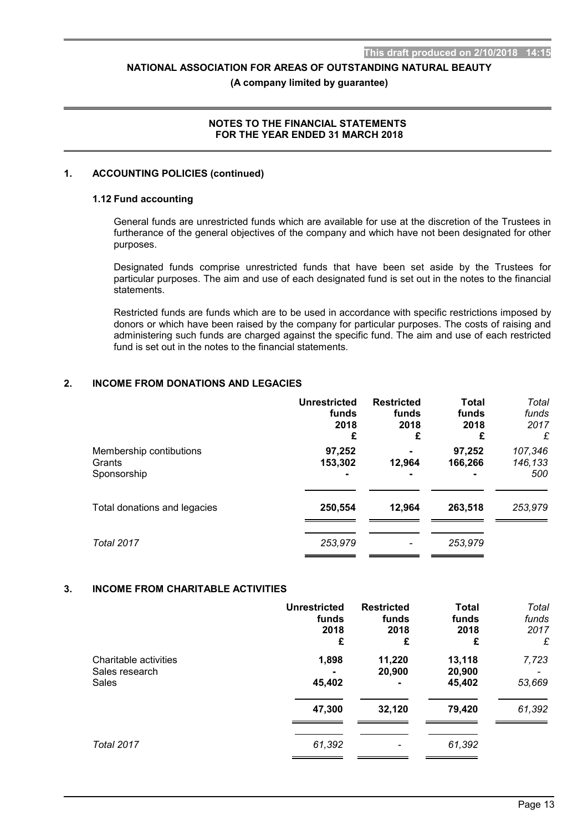#### **(A company limited by guarantee)**

## **NOTES TO THE FINANCIAL STATEMENTS FOR THE YEAR ENDED 31 MARCH 2018**

## **1. ACCOUNTING POLICIES (continued)**

#### **1.12 Fund accounting**

General funds are unrestricted funds which are available for use at the discretion of the Trustees in furtherance of the general objectives of the company and which have not been designated for other purposes.

Designated funds comprise unrestricted funds that have been set aside by the Trustees for particular purposes. The aim and use of each designated fund is set out in the notes to the financial .<br>statements

Restricted funds are funds which are to be used in accordance with specific restrictions imposed by donors or which have been raised by the company for particular purposes. The costs of raising and administering such funds are charged against the specific fund. The aim and use of each restricted fund is set out in the notes to the financial statements.

## **2. INCOME FROM DONATIONS AND LEGACIES**

|                                                  | <b>Unrestricted</b><br>funds<br>2018<br>£ | <b>Restricted</b><br>funds<br>2018<br>£ | <b>Total</b><br>funds<br>2018<br>£  | Total<br>funds<br>2017<br>£ |
|--------------------------------------------------|-------------------------------------------|-----------------------------------------|-------------------------------------|-----------------------------|
| Membership contibutions<br>Grants<br>Sponsorship | 97,252<br>153,302                         | 12,964<br>$\blacksquare$                | 97,252<br>166,266<br>$\blacksquare$ | 107,346<br>146,133<br>500   |
| Total donations and legacies                     | 250,554                                   | 12,964                                  | 263,518                             | 253,979                     |
| Total 2017                                       | 253,979                                   |                                         | 253,979                             |                             |

## **3. INCOME FROM CHARITABLE ACTIVITIES**

|                                                  | <b>Unrestricted</b><br>funds<br>2018<br>£ | <b>Restricted</b><br>funds<br>2018<br>£ | <b>Total</b><br>funds<br>2018<br>£ | Total<br>funds<br>2017<br>£ |
|--------------------------------------------------|-------------------------------------------|-----------------------------------------|------------------------------------|-----------------------------|
| Charitable activities<br>Sales research<br>Sales | 1,898<br>45,402                           | 11,220<br>20,900<br>$\blacksquare$      | 13,118<br>20,900<br>45,402         | 7,723<br>53,669             |
|                                                  | 47,300                                    | 32,120                                  | 79,420                             | 61,392                      |
| <b>Total 2017</b>                                | 61,392                                    | ٠                                       | 61,392                             |                             |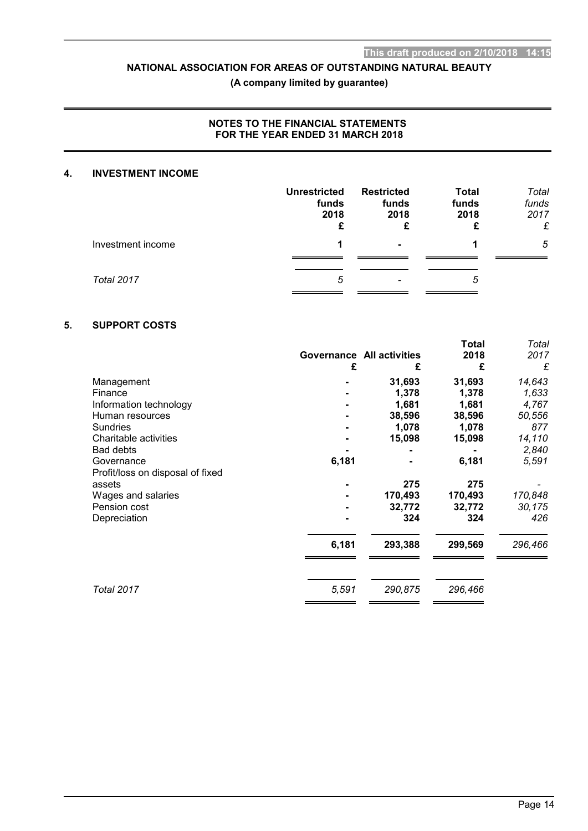## **(A company limited by guarantee)**

## **NOTES TO THE FINANCIAL STATEMENTS FOR THE YEAR ENDED 31 MARCH 2018**

## **4. INVESTMENT INCOME**

|                   | <b>Unrestricted</b><br>funds<br>2018<br>£ | <b>Restricted</b><br>funds<br>2018 | <b>Total</b><br>funds<br>2018<br>£ | Total<br>funds<br>2017<br>£ |
|-------------------|-------------------------------------------|------------------------------------|------------------------------------|-----------------------------|
| Investment income | 1                                         | $\blacksquare$                     | 1                                  | 5                           |
| <b>Total 2017</b> | 5                                         |                                    | 5                                  |                             |

## **5. SUPPORT COSTS**

|                                  | £     | <b>Governance All activities</b><br>£ | Total<br>2018<br>£ | Total<br>2017<br>£ |
|----------------------------------|-------|---------------------------------------|--------------------|--------------------|
| Management                       |       | 31,693                                | 31,693             | 14,643             |
| Finance                          |       | 1,378                                 | 1,378              | 1,633              |
| Information technology           |       | 1,681                                 | 1,681              | 4,767              |
| Human resources                  |       | 38,596                                | 38,596             | 50,556             |
| <b>Sundries</b>                  |       | 1,078                                 | 1,078              | 877                |
| Charitable activities            |       | 15,098                                | 15,098             | 14,110             |
| <b>Bad debts</b>                 |       |                                       |                    | 2,840              |
| Governance                       | 6,181 |                                       | 6,181              | 5,591              |
| Profit/loss on disposal of fixed |       |                                       |                    |                    |
| assets                           |       | 275                                   | 275                |                    |
| Wages and salaries               |       | 170,493                               | 170,493            | 170,848            |
| Pension cost                     |       | 32,772                                | 32,772             | 30,175             |
| Depreciation                     |       | 324                                   | 324                | 426                |
|                                  | 6,181 | 293,388                               | 299,569            | 296,466            |
|                                  |       |                                       |                    |                    |
| <b>Total 2017</b>                | 5,591 | 290,875                               | 296,466            |                    |
|                                  |       |                                       |                    |                    |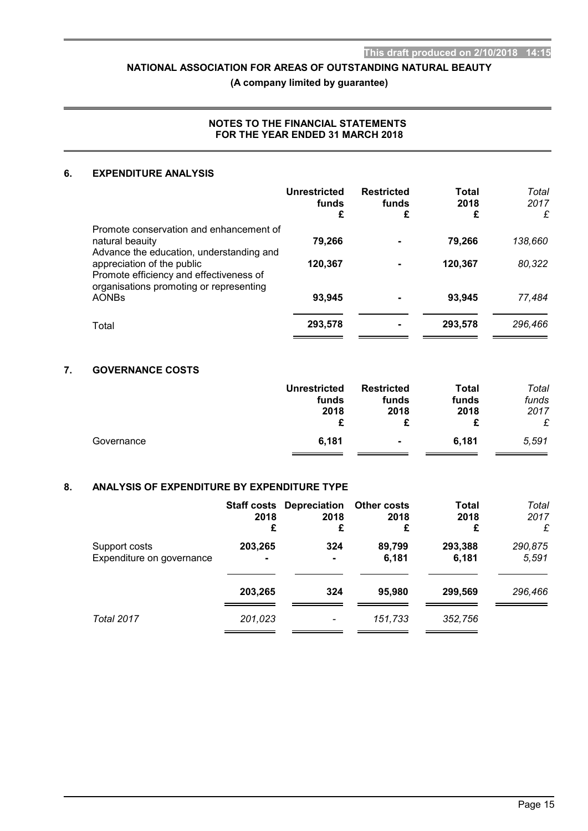**(A company limited by guarantee)**

## **NOTES TO THE FINANCIAL STATEMENTS FOR THE YEAR ENDED 31 MARCH 2018**

## **6. EXPENDITURE ANALYSIS**

|                                                                                                                  | <b>Unrestricted</b><br>funds<br>£ | <b>Restricted</b><br>funds<br>£ | Total<br>2018<br>£ | Total<br>2017<br>£ |
|------------------------------------------------------------------------------------------------------------------|-----------------------------------|---------------------------------|--------------------|--------------------|
| Promote conservation and enhancement of<br>natural beauity<br>Advance the education, understanding and           | 79,266                            |                                 | 79,266             | 138,660            |
| appreciation of the public<br>Promote efficiency and effectiveness of<br>organisations promoting or representing | 120,367                           |                                 | 120,367            | 80,322             |
| <b>AONBs</b>                                                                                                     | 93,945                            |                                 | 93,945             | 77,484             |
| Total                                                                                                            | 293,578                           |                                 | 293,578            | 296,466            |

# **7. GOVERNANCE COSTS**

|            | <b>Unrestricted</b><br>funds<br>2018 | <b>Restricted</b><br>funds<br>2018<br>£ | Total<br>funds<br>2018 | Total<br>funds<br>2017<br>£ |
|------------|--------------------------------------|-----------------------------------------|------------------------|-----------------------------|
| Governance | 6,181                                | $\blacksquare$                          | 6.181                  | 5.591                       |

## **8. ANALYSIS OF EXPENDITURE BY EXPENDITURE TYPE**

|                                            | 2018<br>£                 | <b>Staff costs Depreciation Other costs</b><br>2018<br>£ | 2018<br>£       | Total<br>2018<br>£ | Total<br>2017<br>£ |
|--------------------------------------------|---------------------------|----------------------------------------------------------|-----------------|--------------------|--------------------|
| Support costs<br>Expenditure on governance | 203,265<br>$\blacksquare$ | 324<br>۰                                                 | 89,799<br>6,181 | 293,388<br>6,181   | 290,875<br>5,591   |
|                                            | 203,265                   | 324                                                      | 95,980          | 299,569            | 296,466            |
| <b>Total 2017</b>                          | 201.023                   |                                                          | 151,733         | 352,756            |                    |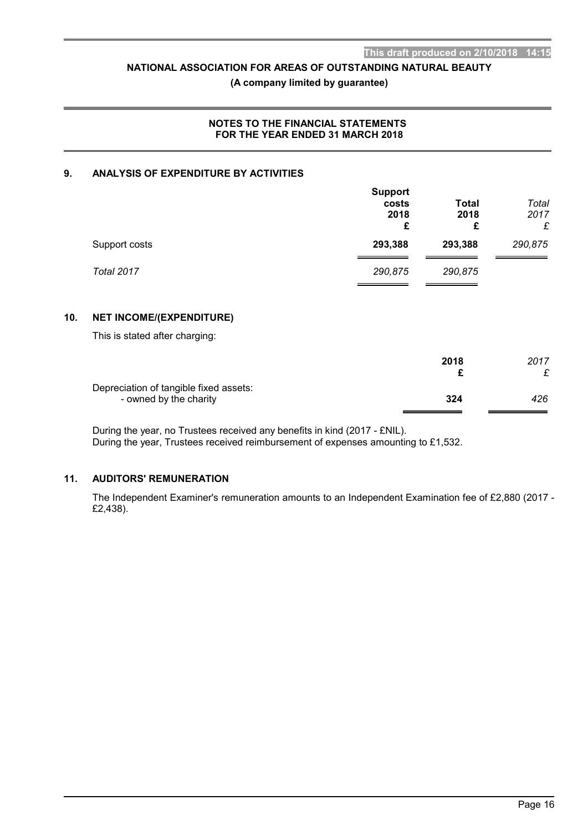## **(A company limited by guarantee)**

## **NOTES TO THE FINANCIAL STATEMENTS FOR THE YEAR ENDED 31 MARCH 2018**

## **9. ANALYSIS OF EXPENDITURE BY ACTIVITIES**

|               | <b>Support</b><br>costs<br>2018<br>£ | Total<br>2018<br>£ | Total<br>2017<br>£ |
|---------------|--------------------------------------|--------------------|--------------------|
| Support costs | 293,388                              | 293,388            | 290,875            |
| Total 2017    | 290,875                              | 290,875            |                    |

## **10. NET INCOME/(EXPENDITURE)**

This is stated after charging:

|                                                                  | 2018 | 2017 |
|------------------------------------------------------------------|------|------|
| Depreciation of tangible fixed assets:<br>- owned by the charity | 324  | 426  |

During the year, no Trustees received any benefits in kind (2017 - £NIL).

During the year, Trustees received reimbursement of expenses amounting to £1,532.

## **11. AUDITORS' REMUNERATION**

The Independent Examiner's remuneration amounts to an Independent Examination fee of £2,880 (2017 - £2,438).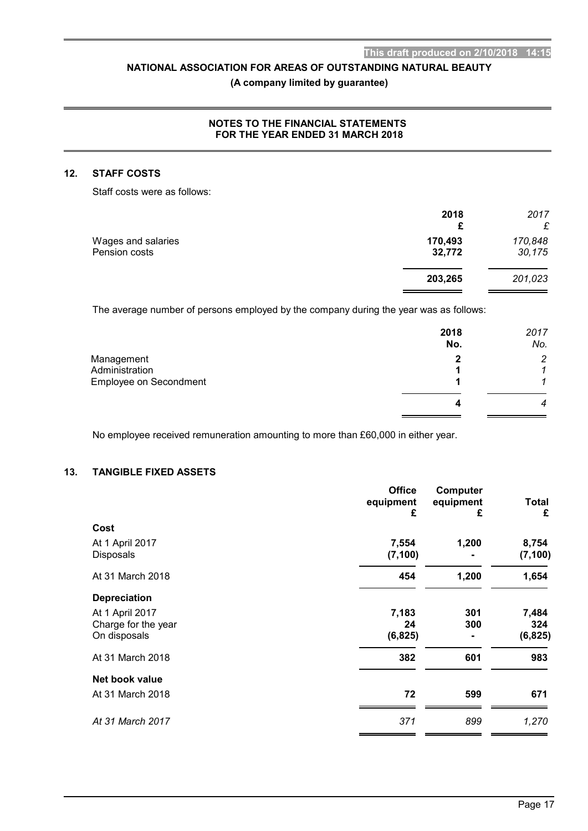# **(A company limited by guarantee)**

## **NOTES TO THE FINANCIAL STATEMENTS FOR THE YEAR ENDED 31 MARCH 2018**

## **12. STAFF COSTS**

Staff costs were as follows:

|                                     | 2018<br>£         | 2017<br>£         |
|-------------------------------------|-------------------|-------------------|
| Wages and salaries<br>Pension costs | 170,493<br>32,772 | 170,848<br>30,175 |
|                                     | 203,265           | 201,023           |

The average number of persons employed by the company during the year was as follows:

|                                                        | 2018<br>No. | 2017<br>No.    |
|--------------------------------------------------------|-------------|----------------|
| Management<br>Administration<br>Employee on Secondment | 2           | $\overline{2}$ |
|                                                        |             | 4              |

No employee received remuneration amounting to more than £60,000 in either year.

# **13. TANGIBLE FIXED ASSETS**

|                     | <b>Office</b><br>equipment<br>£ | Computer<br>equipment<br>£ | <b>Total</b><br>£ |
|---------------------|---------------------------------|----------------------------|-------------------|
| Cost                |                                 |                            |                   |
| At 1 April 2017     | 7,554                           | 1,200                      | 8,754             |
| <b>Disposals</b>    | (7, 100)                        |                            | (7, 100)          |
| At 31 March 2018    | 454                             | 1,200                      | 1,654             |
| <b>Depreciation</b> |                                 |                            |                   |
| At 1 April 2017     | 7,183                           | 301                        | 7,484             |
| Charge for the year | 24                              | 300                        | 324               |
| On disposals        | (6, 825)                        |                            | (6, 825)          |
| At 31 March 2018    | 382                             | 601                        | 983               |
| Net book value      |                                 |                            |                   |
| At 31 March 2018    | 72                              | 599                        | 671               |
| At 31 March 2017    | 371                             | 899                        | 1,270             |
|                     |                                 |                            |                   |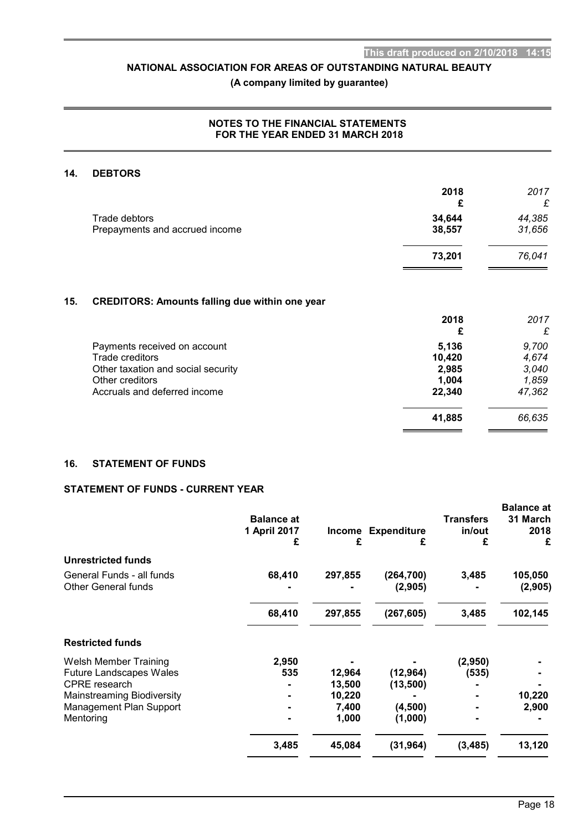# **(A company limited by guarantee)**

## **NOTES TO THE FINANCIAL STATEMENTS FOR THE YEAR ENDED 31 MARCH 2018**

## **14. DEBTORS**

|                                | 2018   | 2017<br>£ |
|--------------------------------|--------|-----------|
| Trade debtors                  | 34,644 | 44,385    |
| Prepayments and accrued income | 38,557 | 31,656    |
|                                | 73,201 | 76,041    |

## **15. CREDITORS: Amounts falling due within one year**

|                                    | 2018   | 2017   |
|------------------------------------|--------|--------|
|                                    | £      | £      |
| Payments received on account       | 5,136  | 9,700  |
| Trade creditors                    | 10,420 | 4,674  |
| Other taxation and social security | 2,985  | 3,040  |
| Other creditors                    | 1,004  | 1,859  |
| Accruals and deferred income       | 22,340 | 47,362 |
|                                    | 41,885 | 66,635 |
|                                    |        |        |

## **16. STATEMENT OF FUNDS**

# **STATEMENT OF FUNDS - CURRENT YEAR**

|                                                         | <b>Balance at</b><br>1 April 2017<br>£ | Income<br>£ | <b>Expenditure</b><br>£ | <b>Transfers</b><br>in/out<br>£ | <b>Balance at</b><br>31 March<br>2018<br>£ |
|---------------------------------------------------------|----------------------------------------|-------------|-------------------------|---------------------------------|--------------------------------------------|
| <b>Unrestricted funds</b>                               |                                        |             |                         |                                 |                                            |
| General Funds - all funds<br><b>Other General funds</b> | 68,410                                 | 297,855     | (264, 700)<br>(2,905)   | 3,485                           | 105,050<br>(2,905)                         |
|                                                         | 68,410                                 | 297,855     | (267, 605)              | 3,485                           | 102,145                                    |
| <b>Restricted funds</b>                                 |                                        |             |                         |                                 |                                            |
| <b>Welsh Member Training</b>                            | 2,950                                  |             |                         | (2,950)                         |                                            |
| <b>Future Landscapes Wales</b>                          | 535                                    | 12,964      | (12, 964)               | (535)                           |                                            |
| <b>CPRE</b> research                                    |                                        | 13,500      | (13, 500)               |                                 |                                            |
| <b>Mainstreaming Biodiversity</b>                       |                                        | 10,220      |                         |                                 | 10,220                                     |
| Management Plan Support                                 |                                        | 7,400       | (4,500)                 |                                 | 2,900                                      |
| Mentoring                                               |                                        | 1,000       | (1,000)                 |                                 |                                            |
|                                                         | 3,485                                  | 45,084      | (31, 964)               | (3, 485)                        | 13,120                                     |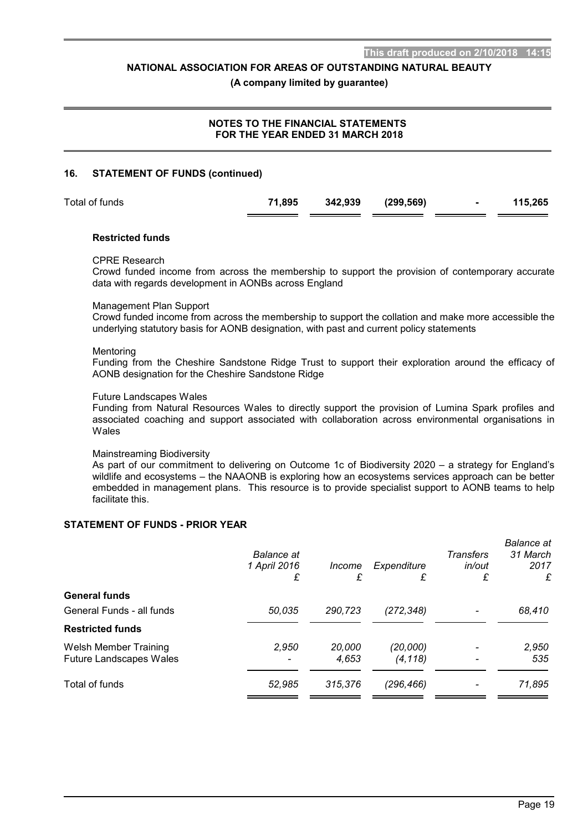#### **(A company limited by guarantee)**

# **NOTES TO THE FINANCIAL STATEMENTS FOR THE YEAR ENDED 31 MARCH 2018**

#### **16. STATEMENT OF FUNDS (continued)**

| Total of funds | 71,895 | 342,939 (299,569) |  | 115,265 |
|----------------|--------|-------------------|--|---------|

#### **Restricted funds**

#### CPRE Research

Crowd funded income from across the membership to support the provision of contemporary accurate data with regards development in AONBs across England

#### Management Plan Support

Crowd funded income from across the membership to support the collation and make more accessible the underlying statutory basis for AONB designation, with past and current policy statements

#### **Mentoring**

Funding from the Cheshire Sandstone Ridge Trust to support their exploration around the efficacy of AONB designation for the Cheshire Sandstone Ridge

#### Future Landscapes Wales

Funding from Natural Resources Wales to directly support the provision of Lumina Spark profiles and associated coaching and support associated with collaboration across environmental organisations in Wales

#### Mainstreaming Biodiversity

As part of our commitment to delivering on Outcome 1c of Biodiversity 2020 – a strategy for England's wildlife and ecosystems – the NAAONB is exploring how an ecosystems services approach can be better embedded in management plans. This resource is to provide specialist support to AONB teams to help facilitate this.

## **STATEMENT OF FUNDS - PRIOR YEAR**

|                                | Balance at<br>1 April 2016<br>£ | Income<br>£ | Expenditure<br>£ | <b>Transfers</b><br>in/out<br>£ | <b>Balance</b> at<br>31 March<br>2017<br>£ |
|--------------------------------|---------------------------------|-------------|------------------|---------------------------------|--------------------------------------------|
| <b>General funds</b>           |                                 |             |                  |                                 |                                            |
| General Funds - all funds      | 50.035                          | 290,723     | (272, 348)       |                                 | 68,410                                     |
| <b>Restricted funds</b>        |                                 |             |                  |                                 |                                            |
| <b>Welsh Member Training</b>   | 2,950                           | 20,000      | (20,000)         |                                 | 2,950                                      |
| <b>Future Landscapes Wales</b> |                                 | 4,653       | (4, 118)         |                                 | 535                                        |
| Total of funds                 | 52,985                          | 315,376     | (296, 466)       |                                 | 71,895                                     |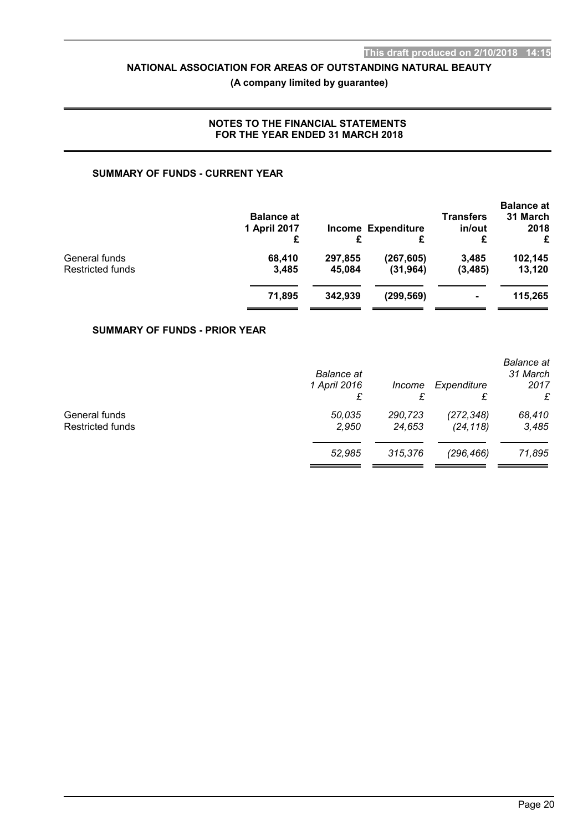# **(A company limited by guarantee)**

## **NOTES TO THE FINANCIAL STATEMENTS FOR THE YEAR ENDED 31 MARCH 2018**

## **SUMMARY OF FUNDS - CURRENT YEAR**

|                  | <b>Balance at</b><br>1 April 2017<br>£ | £       | <b>Income Expenditure</b><br>£ | <b>Transfers</b><br>in/out<br>£ | <b>Balance at</b><br>31 March<br>2018<br>£ |
|------------------|----------------------------------------|---------|--------------------------------|---------------------------------|--------------------------------------------|
| General funds    | 68.410                                 | 297.855 | (267, 605)                     | 3,485                           | 102,145                                    |
| Restricted funds | 3,485                                  | 45.084  | (31, 964)                      | (3, 485)                        | 13,120                                     |
|                  | 71,895                                 | 342.939 | (299, 569)                     | $\blacksquare$                  | 115,265                                    |

## **SUMMARY OF FUNDS - PRIOR YEAR**

|                                          | <b>Balance</b> at<br>1 April 2016 | Income            | Expenditure<br>£        | <b>Balance</b> at<br>31 March<br>2017<br>£ |
|------------------------------------------|-----------------------------------|-------------------|-------------------------|--------------------------------------------|
| General funds<br><b>Restricted funds</b> | 50,035<br>2,950                   | 290,723<br>24,653 | (272, 348)<br>(24, 118) | 68,410<br>3,485                            |
|                                          | 52.985                            | 315,376           | (296, 466)              | 71,895                                     |